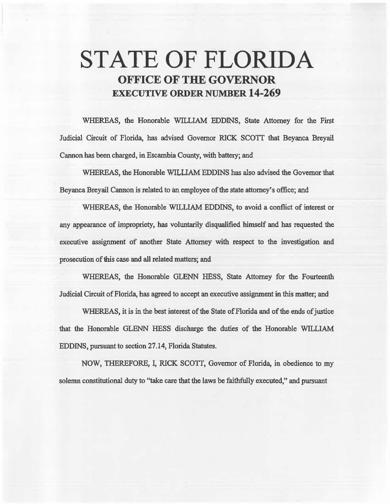# STATE OF FLORIDA OFFICE OF THE GOVERNOR EXECUTIVE ORDER NUMBER 14-269

WHEREAS, the Honorable WILLIAM EDDINS, State Attorney for the First Judicial Circuit of Florida, has advised Governor RICK SCOTI that Beyanca Breyail Cannon has been charged, in Escambia County, with battery; and

WHEREAS, the Honorable WILLIAM EDDINS has also advised the Governor that Beyanca Breyail Cannon is related to an employee of the state attorney's office; and

WHEREAS, the Honorable WILLIAM EDDINS, to avoid a conflict of interest or any appearance of impropriety, has voluntarily disqualified himself and has requested the executive assignment of another State Attorney with respect to the investigation and prosecution of this case and all related matters; and

WHEREAS, the Honorable GLENN HESS, State Attorney for the Fourteenth Judicial Circuit of Florida, has agreed to accept an executive assignment in this matter; and

WHEREAS, it is in the best interest of the State of Florida and of the ends of justice that the Honorable GLENN HESS discharge the duties of the Honorable WILLIAM EDDINS, pursuant to section 27.14, Florida Statutes.

NOW, THEREFORE, I, RICK SCOTI, Governor of Florida, in. obedience to my solemn constitutional duty to ''take care that the laws be faithfully executed," and pursuant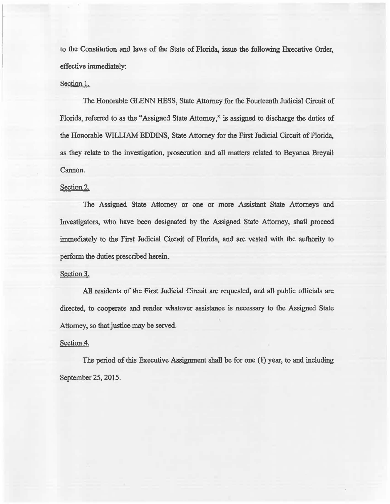to the Constitution and laws of the State of Florida, issue the following Executive Order, effective immediately:

#### Section I.

The Honorable GLENN HESS, State Attorney for the Fourteenth Judicial Circuit of Florida, referred to as the "Assigned State Attorney," is assigned to discharge the duties of the Honorable WILLIAM EDDINS, State Attorney for the First Judicial Circuit of Florida, as they relate to the investigation, prosecution and all matters related to Beyanca Breyail Cannon.

## Section 2.

The Assigned State Attorney or one or more Assistant State Attorneys and Investigators, who have been designated by the Assigned State Attorney, shall proceed immediately to the First Judicial Circuit of Florida, and are vested with the authority to perform the duties prescribed herein.

### Section 3.

All residents of the First Judicial Circuit are requested, and all public officials are directed, to cooperate and render whatever assistance is necessary to the Assigned State Attorney, so that justice may be served.

## Section 4.

The period of this Executive Assignment shall be for one  $(1)$  year, to and including September 25, 2015.